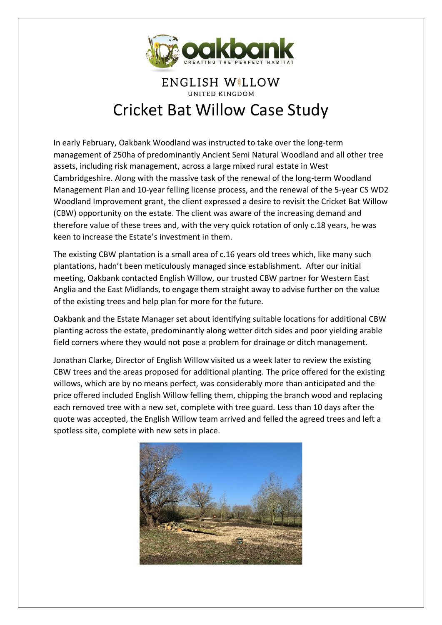

## ENGLISH WILLOW UNITED KINGDOM Cricket Bat Willow Case Study

In early February, Oakbank Woodland was instructed to take over the long-term management of 250ha of predominantly Ancient Semi Natural Woodland and all other tree assets, including risk management, across a large mixed rural estate in West Cambridgeshire. Along with the massive task of the renewal of the long-term Woodland Management Plan and 10-year felling license process, and the renewal of the 5-year CS WD2 Woodland Improvement grant, the client expressed a desire to revisit the Cricket Bat Willow (CBW) opportunity on the estate. The client was aware of the increasing demand and therefore value of these trees and, with the very quick rotation of only c.18 years, he was keen to increase the Estate's investment in them.

The existing CBW plantation is a small area of c.16 years old trees which, like many such plantations, hadn't been meticulously managed since establishment. After our initial meeting, Oakbank contacted English Willow, our trusted CBW partner for Western East Anglia and the East Midlands, to engage them straight away to advise further on the value of the existing trees and help plan for more for the future.

Oakbank and the Estate Manager set about identifying suitable locations for additional CBW planting across the estate, predominantly along wetter ditch sides and poor yielding arable field corners where they would not pose a problem for drainage or ditch management.

Jonathan Clarke, Director of English Willow visited us a week later to review the existing CBW trees and the areas proposed for additional planting. The price offered for the existing willows, which are by no means perfect, was considerably more than anticipated and the price offered included English Willow felling them, chipping the branch wood and replacing each removed tree with a new set, complete with tree guard. Less than 10 days after the quote was accepted, the English Willow team arrived and felled the agreed trees and left a spotless site, complete with new sets in place.

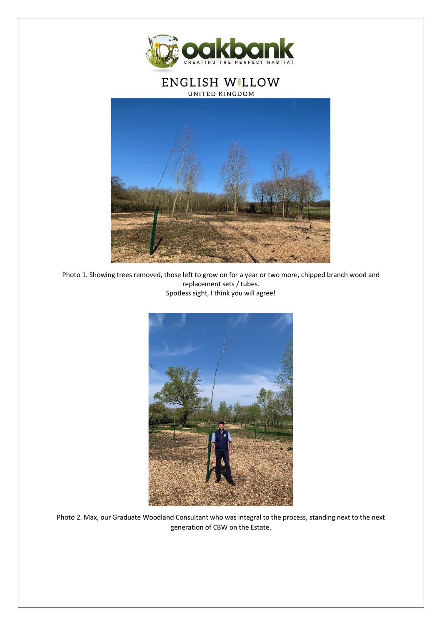

## ENGLISH W\LLOW UNITED KINGDOM



Photo 1. Showing trees removed, those left to grow on for a year or two more, chipped branch wood and replacement sets / tubes. Spotless sight, I think you will agree!



Photo 2. Max, our Graduate Woodland Consultant who was integral to the process, standing next to the next generation of CBW on the Estate.